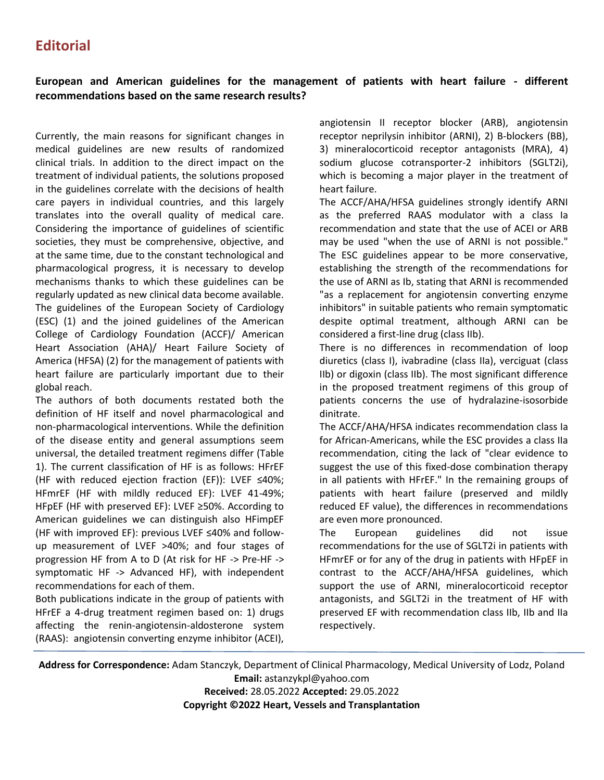## **Editorial**

## **European and American guidelines for the management of patients with heart failure - different recommendations based on the same research results?**

Currently, the main reasons for significant changes in medical guidelines are new results of randomized clinical trials. In addition to the direct impact on the treatment of individual patients, the solutions proposed in the guidelines correlate with the decisions of health care payers in individual countries, and this largely translates into the overall quality of medical care. Considering the importance of guidelines of scientific societies, they must be comprehensive, objective, and at the same time, due to the constant technological and pharmacological progress, it is necessary to develop mechanisms thanks to which these guidelines can be regularly updated as new clinical data become available. The guidelines of the European Society of Cardiology (ESC) (1) and the joined guidelines of the American College of Cardiology Foundation (ACCF)/ American Heart Association (AHA)/ Heart Failure Society of America (HFSA) (2) for the management of patients with heart failure are particularly important due to their global reach.

The authors of both documents restated both the definition of HF itself and novel pharmacological and non-pharmacological interventions. While the definition of the disease entity and general assumptions seem universal, the detailed treatment regimens differ (Table 1). The current classification of HF is as follows: HFrEF (HF with reduced ejection fraction (EF)): LVEF ≤40%; HFmrEF (HF with mildly reduced EF): LVEF 41-49%; HFpEF (HF with preserved EF): LVEF ≥50%. According to American guidelines we can distinguish also HFimpEF (HF with improved EF): previous LVEF ≤40% and followup measurement of LVEF >40%; and four stages of progression HF from A to D (At risk for HF -> Pre-HF -> symptomatic HF -> Advanced HF), with independent recommendations for each of them.

Both publications indicate in the group of patients with HFrEF a 4-drug treatment regimen based on: 1) drugs affecting the renin-angiotensin-aldosterone system (RAAS): angiotensin converting enzyme inhibitor (ACEI), angiotensin II receptor blocker (ARB), angiotensin receptor neprilysin inhibitor (ARNI), 2) B-blockers (BB), 3) mineralocorticoid receptor antagonists (MRA), 4) sodium glucose cotransporter-2 inhibitors (SGLT2i), which is becoming a major player in the treatment of heart failure.

The ACCF/AHA/HFSA guidelines strongly identify ARNI as the preferred RAAS modulator with a class Ia recommendation and state that the use of ACEI or ARB may be used "when the use of ARNI is not possible." The ESC guidelines appear to be more conservative, establishing the strength of the recommendations for the use of ARNI as Ib, stating that ARNI is recommended "as a replacement for angiotensin converting enzyme inhibitors" in suitable patients who remain symptomatic despite optimal treatment, although ARNI can be considered a first-line drug (class IIb).

There is no differences in recommendation of loop diuretics (class I), ivabradine (class IIa), verciguat (class IIb) or digoxin (class IIb). The most significant difference in the proposed treatment regimens of this group of patients concerns the use of hydralazine-isosorbide dinitrate.

The ACCF/AHA/HFSA indicates recommendation class Ia for African-Americans, while the ESC provides a class IIa recommendation, citing the lack of "clear evidence to suggest the use of this fixed-dose combination therapy in all patients with HFrEF." In the remaining groups of patients with heart failure (preserved and mildly reduced EF value), the differences in recommendations are even more pronounced.

The European guidelines did not issue recommendations for the use of SGLT2i in patients with HFmrEF or for any of the drug in patients with HFpEF in contrast to the ACCF/AHA/HFSA guidelines, which support the use of ARNI, mineralocorticoid receptor antagonists, and SGLT2i in the treatment of HF with preserved EF with recommendation class IIb, IIb and IIa respectively.

**Address for Correspondence:** Adam Stanczyk, Department of Clinical Pharmacology, Medical University of Lodz, Poland **Email:** astanzykpl@yahoo.com

**Received:** 28.05.2022 **Accepted:** 29.05.2022 **Copyright ©2022 Heart, Vessels and Transplantation**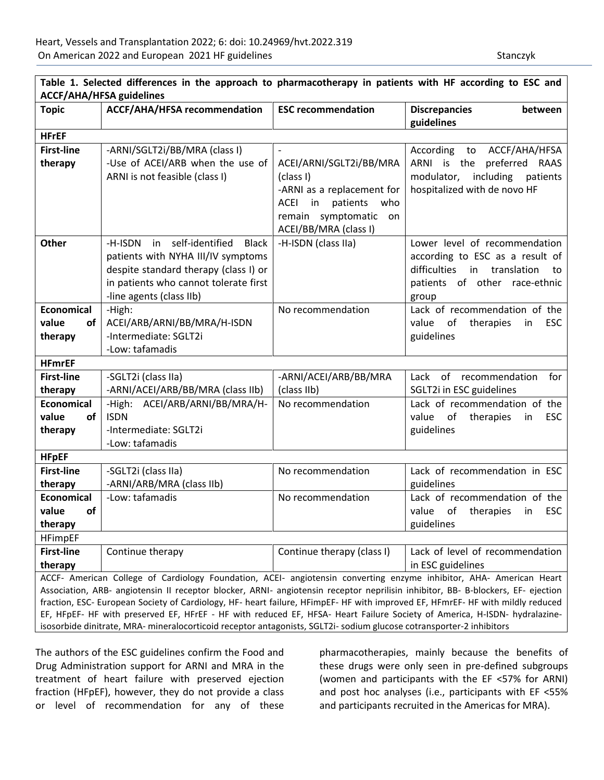| <b>Topic</b>                                                                                                                     | ACCF/AHA/HFSA recommendation                                                | <b>ESC recommendation</b>            | <b>Discrepancies</b><br>between<br>guidelines                           |
|----------------------------------------------------------------------------------------------------------------------------------|-----------------------------------------------------------------------------|--------------------------------------|-------------------------------------------------------------------------|
| <b>HFrEF</b>                                                                                                                     |                                                                             |                                      |                                                                         |
| <b>First-line</b>                                                                                                                | -ARNI/SGLT2i/BB/MRA (class I)                                               |                                      | According to ACCF/AHA/HFSA                                              |
| therapy                                                                                                                          | -Use of ACEI/ARB when the use of                                            | ACEI/ARNI/SGLT2i/BB/MRA              | preferred RAAS<br>ARNI is the                                           |
|                                                                                                                                  | ARNI is not feasible (class I)                                              | (class I)                            | including<br>modulator,<br>patients                                     |
|                                                                                                                                  |                                                                             | -ARNI as a replacement for           | hospitalized with de novo HF                                            |
|                                                                                                                                  |                                                                             | <b>ACEI</b><br>patients<br>who<br>in |                                                                         |
|                                                                                                                                  |                                                                             | remain symptomatic<br>on             |                                                                         |
|                                                                                                                                  |                                                                             | ACEI/BB/MRA (class I)                |                                                                         |
| Other                                                                                                                            | self-identified<br>-H-ISDN<br>in<br><b>Black</b>                            | -H-ISDN (class IIa)                  | Lower level of recommendation                                           |
|                                                                                                                                  | patients with NYHA III/IV symptoms<br>despite standard therapy (class I) or |                                      | according to ESC as a result of<br>difficulties<br>in translation<br>to |
|                                                                                                                                  | in patients who cannot tolerate first                                       |                                      | patients of other race-ethnic                                           |
|                                                                                                                                  | -line agents (class IIb)                                                    |                                      | group                                                                   |
| <b>Economical</b>                                                                                                                | -High:                                                                      | No recommendation                    | Lack of recommendation of the                                           |
| value<br>of                                                                                                                      | ACEI/ARB/ARNI/BB/MRA/H-ISDN                                                 |                                      | of<br>therapies<br><b>ESC</b><br>value<br>in                            |
| therapy                                                                                                                          | -Intermediate: SGLT2i                                                       |                                      | guidelines                                                              |
|                                                                                                                                  | -Low: tafamadis                                                             |                                      |                                                                         |
| <b>HFmrEF</b>                                                                                                                    |                                                                             |                                      |                                                                         |
| <b>First-line</b>                                                                                                                | -SGLT2i (class IIa)                                                         | -ARNI/ACEI/ARB/BB/MRA                | Lack<br>of recommendation<br>for                                        |
| therapy                                                                                                                          | -ARNI/ACEI/ARB/BB/MRA (class IIb)                                           | (class IIb)                          | SGLT2i in ESC guidelines                                                |
| <b>Economical</b>                                                                                                                | -High: ACEI/ARB/ARNI/BB/MRA/H-                                              | No recommendation                    | Lack of recommendation of the                                           |
| <b>of</b><br>value                                                                                                               | <b>ISDN</b>                                                                 |                                      | <b>ESC</b><br>value<br>of<br>therapies<br>in                            |
| therapy                                                                                                                          | -Intermediate: SGLT2i                                                       |                                      | guidelines                                                              |
|                                                                                                                                  | -Low: tafamadis                                                             |                                      |                                                                         |
| <b>HFpEF</b>                                                                                                                     |                                                                             |                                      |                                                                         |
| <b>First-line</b>                                                                                                                | -SGLT2i (class IIa)                                                         | No recommendation                    | Lack of recommendation in ESC<br>guidelines                             |
| therapy<br><b>Economical</b>                                                                                                     | -ARNI/ARB/MRA (class IIb)<br>-Low: tafamadis                                | No recommendation                    | Lack of recommendation of the                                           |
| of<br>value                                                                                                                      |                                                                             |                                      | value<br>of therapies<br><b>ESC</b><br>in                               |
| therapy                                                                                                                          |                                                                             |                                      | guidelines                                                              |
| <b>HFimpEF</b>                                                                                                                   |                                                                             |                                      |                                                                         |
| <b>First-line</b>                                                                                                                | Continue therapy                                                            | Continue therapy (class I)           | Lack of level of recommendation                                         |
| therapy                                                                                                                          |                                                                             |                                      | in ESC guidelines                                                       |
| ACCF- American College of Cardiology Foundation, ACEI- angiotensin converting enzyme inhibitor, AHA- American Heart              |                                                                             |                                      |                                                                         |
| Association, ARB- angiotensin II receptor blocker, ARNI- angiotensin receptor neprilisin inhibitor, BB- B-blockers, EF- ejection |                                                                             |                                      |                                                                         |
| fraction, ESC- European Society of Cardiology, HF- heart failure, HFimpEF- HF with improved EF, HFmrEF- HF with mildly reduced   |                                                                             |                                      |                                                                         |
| EF, HFpEF- HF with preserved EF, HFrEF - HF with reduced EF, HFSA- Heart Failure Society of America, H-ISDN- hydralazine-        |                                                                             |                                      |                                                                         |
| isosorbide dinitrate, MRA- mineralocorticoid receptor antagonists, SGLT2i- sodium glucose cotransporter-2 inhibitors             |                                                                             |                                      |                                                                         |

The authors of the ESC guidelines confirm the Food and Drug Administration support for ARNI and MRA in the treatment of heart failure with preserved ejection fraction (HFpEF), however, they do not provide a class or level of recommendation for any of these

pharmacotherapies, mainly because the benefits of these drugs were only seen in pre-defined subgroups (women and participants with the EF <57% for ARNI) and post hoc analyses (i.e., participants with EF <55% and participants recruited in the Americas for MRA).